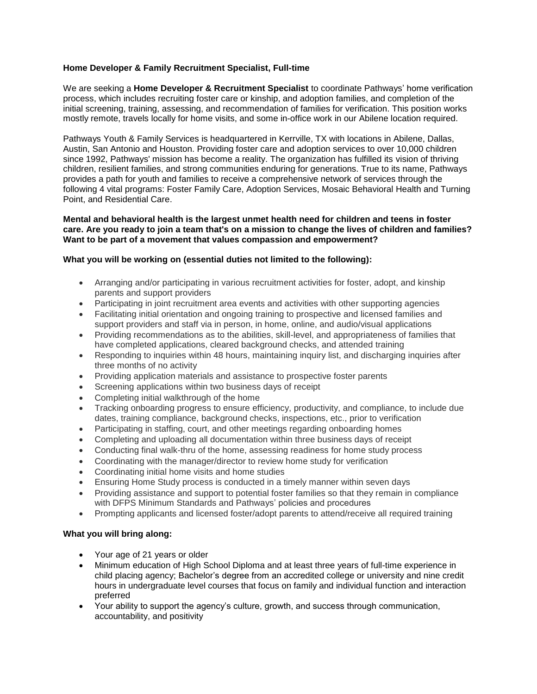# **Home Developer & Family Recruitment Specialist, Full-time**

We are seeking a **Home Developer & Recruitment Specialist** to coordinate Pathways' home verification process, which includes recruiting foster care or kinship, and adoption families, and completion of the initial screening, training, assessing, and recommendation of families for verification. This position works mostly remote, travels locally for home visits, and some in-office work in our Abilene location required.

Pathways Youth & Family Services is headquartered in Kerrville, TX with locations in Abilene, Dallas, Austin, San Antonio and Houston. Providing foster care and adoption services to over 10,000 children since 1992, Pathways' mission has become a reality. The organization has fulfilled its vision of thriving children, resilient families, and strong communities enduring for generations. True to its name, Pathways provides a path for youth and families to receive a comprehensive network of services through the following 4 vital programs: Foster Family Care, Adoption Services, Mosaic Behavioral Health and Turning Point, and Residential Care.

#### **Mental and behavioral health is the largest unmet health need for children and teens in foster care. Are you ready to join a team that's on a mission to change the lives of children and families? Want to be part of a movement that values compassion and empowerment?**

### **What you will be working on (essential duties not limited to the following):**

- Arranging and/or participating in various recruitment activities for foster, adopt, and kinship parents and support providers
- Participating in joint recruitment area events and activities with other supporting agencies
- Facilitating initial orientation and ongoing training to prospective and licensed families and support providers and staff via in person, in home, online, and audio/visual applications
- Providing recommendations as to the abilities, skill-level, and appropriateness of families that have completed applications, cleared background checks, and attended training
- Responding to inquiries within 48 hours, maintaining inquiry list, and discharging inquiries after three months of no activity
- Providing application materials and assistance to prospective foster parents
- Screening applications within two business days of receipt
- Completing initial walkthrough of the home
- Tracking onboarding progress to ensure efficiency, productivity, and compliance, to include due dates, training compliance, background checks, inspections, etc., prior to verification
- Participating in staffing, court, and other meetings regarding onboarding homes
- Completing and uploading all documentation within three business days of receipt
- Conducting final walk-thru of the home, assessing readiness for home study process
- Coordinating with the manager/director to review home study for verification
- Coordinating initial home visits and home studies
- Ensuring Home Study process is conducted in a timely manner within seven days
- Providing assistance and support to potential foster families so that they remain in compliance with DFPS Minimum Standards and Pathways' policies and procedures
- Prompting applicants and licensed foster/adopt parents to attend/receive all required training

#### **What you will bring along:**

- Your age of 21 years or older
- Minimum education of High School Diploma and at least three years of full-time experience in child placing agency; Bachelor's degree from an accredited college or university and nine credit hours in undergraduate level courses that focus on family and individual function and interaction preferred
- Your ability to support the agency's culture, growth, and success through communication, accountability, and positivity